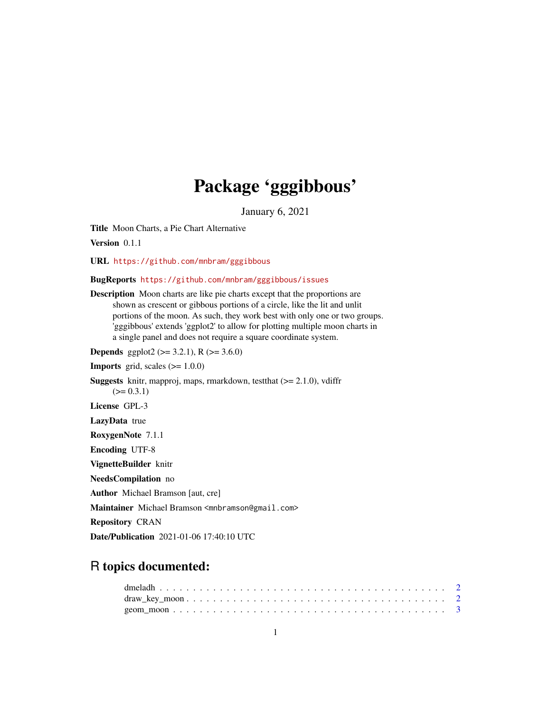## Package 'gggibbous'

January 6, 2021

<span id="page-0-0"></span>Title Moon Charts, a Pie Chart Alternative

Version 0.1.1

URL <https://github.com/mnbram/gggibbous>

BugReports <https://github.com/mnbram/gggibbous/issues>

Description Moon charts are like pie charts except that the proportions are shown as crescent or gibbous portions of a circle, like the lit and unlit portions of the moon. As such, they work best with only one or two groups. 'gggibbous' extends 'ggplot2' to allow for plotting multiple moon charts in a single panel and does not require a square coordinate system.

**Depends** ggplot2 ( $>= 3.2.1$ ), R ( $>= 3.6.0$ )

**Imports** grid, scales  $(>= 1.0.0)$ 

**Suggests** knitr, mapproj, maps, rmarkdown, test that  $(>= 2.1.0)$ , vdiffr  $(>= 0.3.1)$ License GPL-3 LazyData true RoxygenNote 7.1.1 Encoding UTF-8 VignetteBuilder knitr NeedsCompilation no

Author Michael Bramson [aut, cre]

Maintainer Michael Bramson <mnbramson@gmail.com>

Repository CRAN

Date/Publication 2021-01-06 17:40:10 UTC

### R topics documented: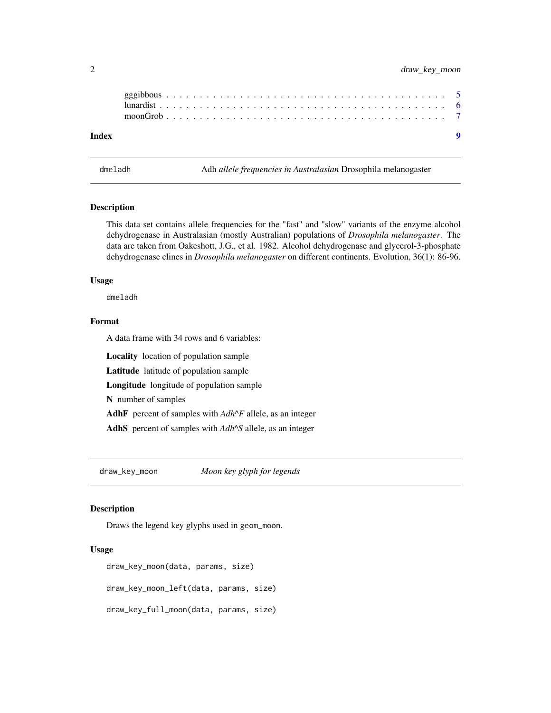<span id="page-1-0"></span>

dmeladh Adh *allele frequencies in Australasian* Drosophila melanogaster

#### Description

This data set contains allele frequencies for the "fast" and "slow" variants of the enzyme alcohol dehydrogenase in Australasian (mostly Australian) populations of *Drosophila melanogaster*. The data are taken from Oakeshott, J.G., et al. 1982. Alcohol dehydrogenase and glycerol-3-phosphate dehydrogenase clines in *Drosophila melanogaster* on different continents. Evolution, 36(1): 86-96.

#### Usage

dmeladh

#### Format

A data frame with 34 rows and 6 variables:

Locality location of population sample

Latitude latitude of population sample

Longitude longitude of population sample

N number of samples

AdhF percent of samples with *Adh^F* allele, as an integer

AdhS percent of samples with *Adh^S* allele, as an integer

draw\_key\_moon *Moon key glyph for legends*

#### Description

Draws the legend key glyphs used in geom\_moon.

#### Usage

```
draw_key_moon(data, params, size)
draw_key_moon_left(data, params, size)
draw_key_full_moon(data, params, size)
```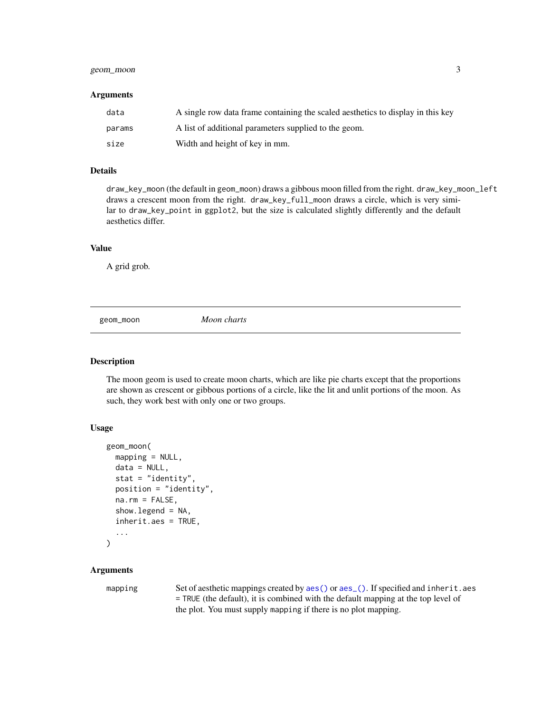#### <span id="page-2-0"></span>geom\_moon 3

#### Arguments

| data   | A single row data frame containing the scaled aesthetics to display in this key |
|--------|---------------------------------------------------------------------------------|
| params | A list of additional parameters supplied to the geom.                           |
| size   | Width and height of key in mm.                                                  |

#### Details

draw\_key\_moon (the default in geom\_moon) draws a gibbous moon filled from the right. draw\_key\_moon\_left draws a crescent moon from the right. draw\_key\_full\_moon draws a circle, which is very similar to draw\_key\_point in ggplot2, but the size is calculated slightly differently and the default aesthetics differ.

#### Value

A grid grob.

geom\_moon *Moon charts*

#### **Description**

The moon geom is used to create moon charts, which are like pie charts except that the proportions are shown as crescent or gibbous portions of a circle, like the lit and unlit portions of the moon. As such, they work best with only one or two groups.

#### Usage

```
geom_moon(
  mapping = NULL,
  data = NULL,stat = "identity",
  position = "identity",
  na.rm = FALSE,
  show. legend = NA,
  inherit.aes = TRUE,
  ...
)
```
#### Arguments

mapping Set of aesthetic mappings created by [aes\(\)](#page-0-0) or [aes\\_\(\)](#page-0-0). If specified and inherit.aes = TRUE (the default), it is combined with the default mapping at the top level of the plot. You must supply mapping if there is no plot mapping.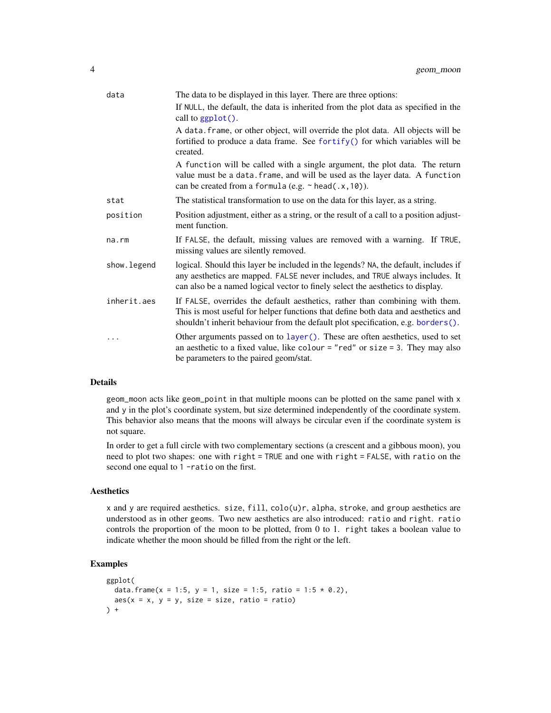<span id="page-3-0"></span>

| data        | The data to be displayed in this layer. There are three options:                                                                                                                                                                                       |
|-------------|--------------------------------------------------------------------------------------------------------------------------------------------------------------------------------------------------------------------------------------------------------|
|             | If NULL, the default, the data is inherited from the plot data as specified in the<br>call to ggplot().                                                                                                                                                |
|             | A data. frame, or other object, will override the plot data. All objects will be<br>fortified to produce a data frame. See fortify() for which variables will be<br>created.                                                                           |
|             | A function will be called with a single argument, the plot data. The return<br>value must be a data. frame, and will be used as the layer data. A function<br>can be created from a formula (e.g. $\sim$ head(.x, 10)).                                |
| stat        | The statistical transformation to use on the data for this layer, as a string.                                                                                                                                                                         |
| position    | Position adjustment, either as a string, or the result of a call to a position adjust-<br>ment function.                                                                                                                                               |
| na.rm       | If FALSE, the default, missing values are removed with a warning. If TRUE,<br>missing values are silently removed.                                                                                                                                     |
| show.legend | logical. Should this layer be included in the legends? NA, the default, includes if<br>any aesthetics are mapped. FALSE never includes, and TRUE always includes. It<br>can also be a named logical vector to finely select the aesthetics to display. |
| inherit.aes | If FALSE, overrides the default aesthetics, rather than combining with them.<br>This is most useful for helper functions that define both data and aesthetics and<br>shouldn't inherit behaviour from the default plot specification, e.g. borders().  |
|             | Other arguments passed on to layer (). These are often aesthetics, used to set<br>an aesthetic to a fixed value, like colour = "red" or size = 3. They may also<br>be parameters to the paired geom/stat.                                              |

#### Details

geom\_moon acts like geom\_point in that multiple moons can be plotted on the same panel with x and y in the plot's coordinate system, but size determined independently of the coordinate system. This behavior also means that the moons will always be circular even if the coordinate system is not square.

In order to get a full circle with two complementary sections (a crescent and a gibbous moon), you need to plot two shapes: one with right = TRUE and one with right = FALSE, with ratio on the second one equal to 1 -ratio on the first.

#### Aesthetics

x and y are required aesthetics. size,  $fill$ ,  $colo(u)r$ , alpha, stroke, and group aesthetics are understood as in other geoms. Two new aesthetics are also introduced: ratio and right. ratio controls the proportion of the moon to be plotted, from 0 to 1. right takes a boolean value to indicate whether the moon should be filled from the right or the left.

#### Examples

```
ggplot(
  data.frame(x = 1:5, y = 1, size = 1:5, ratio = 1:5 * 0.2),
  aes(x = x, y = y, size = size, ratio = ratio)) +
```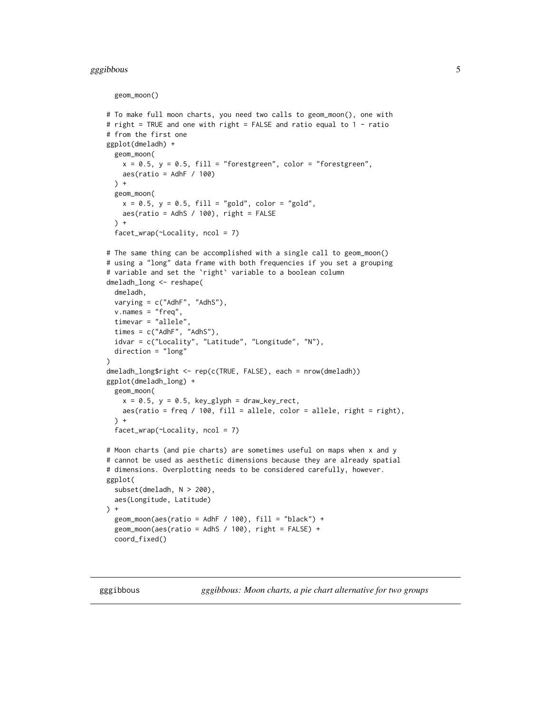#### <span id="page-4-0"></span>gggibbous 5 to 1999 and 2009 and 2009 and 2009 and 2009 and 2009 and 2009 and 2009 and 2009 and 2009 and 2009

```
geom_moon()
# To make full moon charts, you need two calls to geom_moon(), one with
# right = TRUE and one with right = FALSE and ratio equal to 1 - ratio
# from the first one
ggplot(dmeladh) +
 geom_moon(
   x = 0.5, y = 0.5, fill = "forestgreen", color = "forestgreen",
   aes(ratio = AdhF / 100)
 \rightarrow +
 geom_moon(
   x = 0.5, y = 0.5, fill = "gold", color = "gold",aes(ratio = AdhS / 100), right = FALSE
 ) +facet_wrap(~Locality, ncol = 7)
# The same thing can be accomplished with a single call to geom_moon()
# using a "long" data frame with both frequencies if you set a grouping
# variable and set the `right` variable to a boolean column
dmeladh_long <- reshape(
 dmeladh,
 varying = c("AdhF", "AdhS"),
 v.names = "freq",
 timevar = "allele",
 times = c("AdhF", "AdhS"),
 idvar = c("Locality", "Latitude", "Longitude", "N"),
 direction = "long"
)
dmeladh_long$right <- rep(c(TRUE, FALSE), each = nrow(dmeladh))
ggplot(dmeladh_long) +
 geom_moon(
   x = 0.5, y = 0.5, key_glyph = draw_key_rect,
   aes(ratio = freq / 100, fill = allele, color = allele, right = right),
 \rightarrow +
 facet_wrap(~Locality, ncol = 7)
# Moon charts (and pie charts) are sometimes useful on maps when x and y
# cannot be used as aesthetic dimensions because they are already spatial
# dimensions. Overplotting needs to be considered carefully, however.
ggplot(
 subset(dmeladh, N > 200),
 aes(Longitude, Latitude)
) +geom_moon(aes(ratio = AdhF / 100), fill = "black") +
 geom_moon(aes(ratio = AdhS / 100), right = FALSE) +coord_fixed()
```
gggibbous *gggibbous: Moon charts, a pie chart alternative for two groups*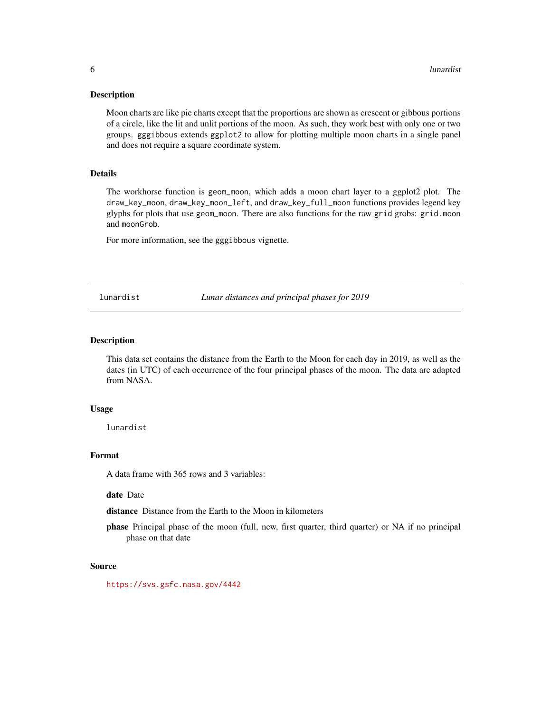#### <span id="page-5-0"></span>Description

Moon charts are like pie charts except that the proportions are shown as crescent or gibbous portions of a circle, like the lit and unlit portions of the moon. As such, they work best with only one or two groups. gggibbous extends ggplot2 to allow for plotting multiple moon charts in a single panel and does not require a square coordinate system.

#### Details

The workhorse function is geom\_moon, which adds a moon chart layer to a ggplot2 plot. The draw\_key\_moon, draw\_key\_moon\_left, and draw\_key\_full\_moon functions provides legend key glyphs for plots that use geom\_moon. There are also functions for the raw grid grobs: grid.moon and moonGrob.

For more information, see the gggibbous vignette.

lunardist *Lunar distances and principal phases for 2019*

#### **Description**

This data set contains the distance from the Earth to the Moon for each day in 2019, as well as the dates (in UTC) of each occurrence of the four principal phases of the moon. The data are adapted from NASA.

#### Usage

lunardist

#### Format

A data frame with 365 rows and 3 variables:

date Date

distance Distance from the Earth to the Moon in kilometers

phase Principal phase of the moon (full, new, first quarter, third quarter) or NA if no principal phase on that date

#### Source

<https://svs.gsfc.nasa.gov/4442>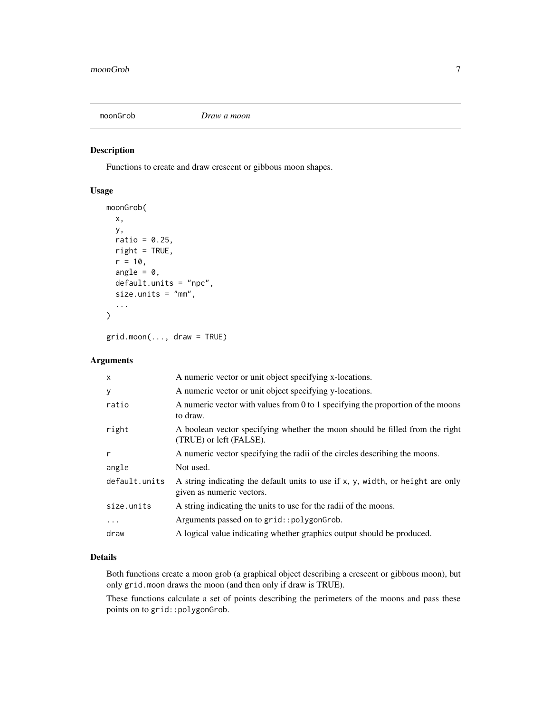<span id="page-6-0"></span>

#### Description

Functions to create and draw crescent or gibbous moon shapes.

#### Usage

```
moonGrob(
 x,
 y,
 ratio = 0.25,
 right = TRUE,r = 10,
  angle = 0,
  default.units = "npc",
  size.units = "mm",...
)
```
grid.moon(..., draw = TRUE)

#### Arguments

| $\boldsymbol{\mathsf{x}}$ | A numeric vector or unit object specifying x-locations.                                                      |
|---------------------------|--------------------------------------------------------------------------------------------------------------|
| y                         | A numeric vector or unit object specifying y-locations.                                                      |
| ratio                     | A numeric vector with values from 0 to 1 specifying the proportion of the moons<br>to draw.                  |
| right                     | A boolean vector specifying whether the moon should be filled from the right<br>(TRUE) or left (FALSE).      |
| r                         | A numeric vector specifying the radii of the circles describing the moons.                                   |
| angle                     | Not used.                                                                                                    |
| default.units             | A string indicating the default units to use if x, y, width, or height are only<br>given as numeric vectors. |
| size.units                | A string indicating the units to use for the radii of the moons.                                             |
| $\cdots$                  | Arguments passed on to grid::polygonGrob.                                                                    |
| draw                      | A logical value indicating whether graphics output should be produced.                                       |

#### Details

Both functions create a moon grob (a graphical object describing a crescent or gibbous moon), but only grid.moon draws the moon (and then only if draw is TRUE).

These functions calculate a set of points describing the perimeters of the moons and pass these points on to grid:: polygonGrob.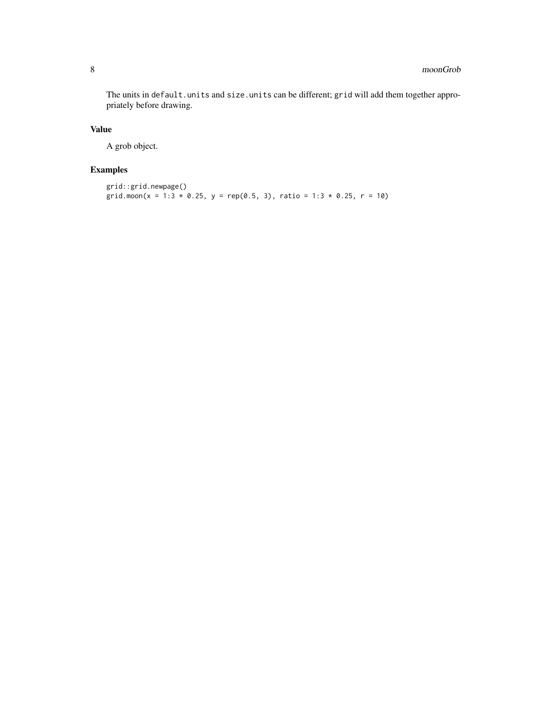The units in default.units and size.units can be different; grid will add them together appropriately before drawing.

#### Value

A grob object.

#### Examples

```
grid::grid.newpage()
grid.moon(x = 1:3 * 0.25, y = rep(0.5, 3), ratio = 1:3 * 0.25, r = 10)
```